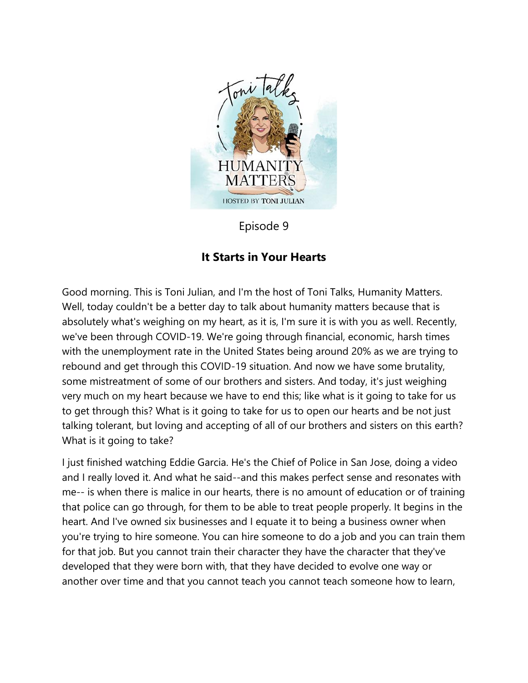

Episode 9

## **It Starts in Your Hearts**

Good morning. This is Toni Julian, and I'm the host of Toni Talks, Humanity Matters. Well, today couldn't be a better day to talk about humanity matters because that is absolutely what's weighing on my heart, as it is, I'm sure it is with you as well. Recently, we've been through COVID-19. We're going through financial, economic, harsh times with the unemployment rate in the United States being around 20% as we are trying to rebound and get through this COVID-19 situation. And now we have some brutality, some mistreatment of some of our brothers and sisters. And today, it's just weighing very much on my heart because we have to end this; like what is it going to take for us to get through this? What is it going to take for us to open our hearts and be not just talking tolerant, but loving and accepting of all of our brothers and sisters on this earth? What is it going to take?

I just finished watching Eddie Garcia. He's the Chief of Police in San Jose, doing a video and I really loved it. And what he said--and this makes perfect sense and resonates with me-- is when there is malice in our hearts, there is no amount of education or of training that police can go through, for them to be able to treat people properly. It begins in the heart. And I've owned six businesses and I equate it to being a business owner when you're trying to hire someone. You can hire someone to do a job and you can train them for that job. But you cannot train their character they have the character that they've developed that they were born with, that they have decided to evolve one way or another over time and that you cannot teach you cannot teach someone how to learn,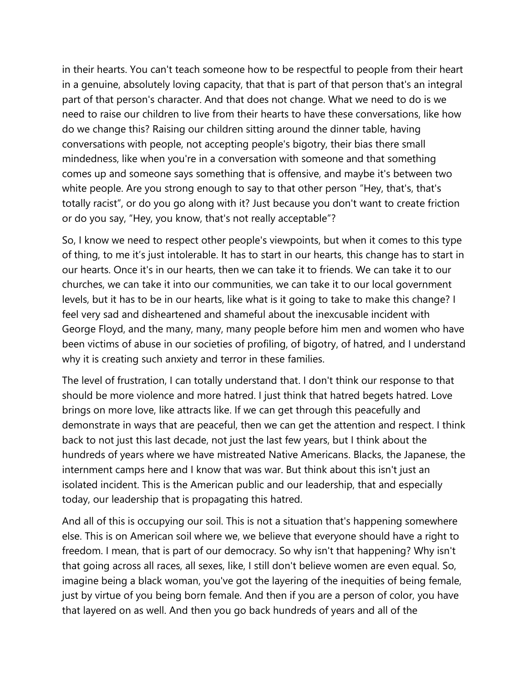in their hearts. You can't teach someone how to be respectful to people from their heart in a genuine, absolutely loving capacity, that that is part of that person that's an integral part of that person's character. And that does not change. What we need to do is we need to raise our children to live from their hearts to have these conversations, like how do we change this? Raising our children sitting around the dinner table, having conversations with people, not accepting people's bigotry, their bias there small mindedness, like when you're in a conversation with someone and that something comes up and someone says something that is offensive, and maybe it's between two white people. Are you strong enough to say to that other person "Hey, that's, that's totally racist", or do you go along with it? Just because you don't want to create friction or do you say, "Hey, you know, that's not really acceptable"?

So, I know we need to respect other people's viewpoints, but when it comes to this type of thing, to me it's just intolerable. It has to start in our hearts, this change has to start in our hearts. Once it's in our hearts, then we can take it to friends. We can take it to our churches, we can take it into our communities, we can take it to our local government levels, but it has to be in our hearts, like what is it going to take to make this change? I feel very sad and disheartened and shameful about the inexcusable incident with George Floyd, and the many, many, many people before him men and women who have been victims of abuse in our societies of profiling, of bigotry, of hatred, and I understand why it is creating such anxiety and terror in these families.

The level of frustration, I can totally understand that. I don't think our response to that should be more violence and more hatred. I just think that hatred begets hatred. Love brings on more love, like attracts like. If we can get through this peacefully and demonstrate in ways that are peaceful, then we can get the attention and respect. I think back to not just this last decade, not just the last few years, but I think about the hundreds of years where we have mistreated Native Americans. Blacks, the Japanese, the internment camps here and I know that was war. But think about this isn't just an isolated incident. This is the American public and our leadership, that and especially today, our leadership that is propagating this hatred.

And all of this is occupying our soil. This is not a situation that's happening somewhere else. This is on American soil where we, we believe that everyone should have a right to freedom. I mean, that is part of our democracy. So why isn't that happening? Why isn't that going across all races, all sexes, like, I still don't believe women are even equal. So, imagine being a black woman, you've got the layering of the inequities of being female, just by virtue of you being born female. And then if you are a person of color, you have that layered on as well. And then you go back hundreds of years and all of the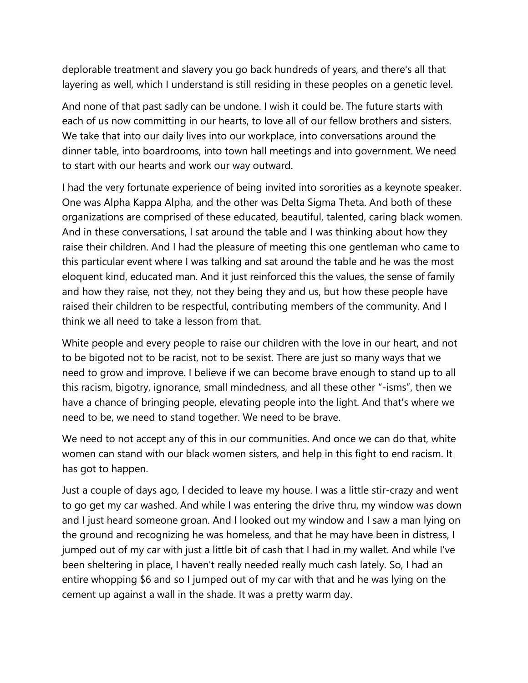deplorable treatment and slavery you go back hundreds of years, and there's all that layering as well, which I understand is still residing in these peoples on a genetic level.

And none of that past sadly can be undone. I wish it could be. The future starts with each of us now committing in our hearts, to love all of our fellow brothers and sisters. We take that into our daily lives into our workplace, into conversations around the dinner table, into boardrooms, into town hall meetings and into government. We need to start with our hearts and work our way outward.

I had the very fortunate experience of being invited into sororities as a keynote speaker. One was Alpha Kappa Alpha, and the other was Delta Sigma Theta. And both of these organizations are comprised of these educated, beautiful, talented, caring black women. And in these conversations, I sat around the table and I was thinking about how they raise their children. And I had the pleasure of meeting this one gentleman who came to this particular event where I was talking and sat around the table and he was the most eloquent kind, educated man. And it just reinforced this the values, the sense of family and how they raise, not they, not they being they and us, but how these people have raised their children to be respectful, contributing members of the community. And I think we all need to take a lesson from that.

White people and every people to raise our children with the love in our heart, and not to be bigoted not to be racist, not to be sexist. There are just so many ways that we need to grow and improve. I believe if we can become brave enough to stand up to all this racism, bigotry, ignorance, small mindedness, and all these other "-isms", then we have a chance of bringing people, elevating people into the light. And that's where we need to be, we need to stand together. We need to be brave.

We need to not accept any of this in our communities. And once we can do that, white women can stand with our black women sisters, and help in this fight to end racism. It has got to happen.

Just a couple of days ago, I decided to leave my house. I was a little stir-crazy and went to go get my car washed. And while I was entering the drive thru, my window was down and I just heard someone groan. And I looked out my window and I saw a man lying on the ground and recognizing he was homeless, and that he may have been in distress, I jumped out of my car with just a little bit of cash that I had in my wallet. And while I've been sheltering in place, I haven't really needed really much cash lately. So, I had an entire whopping \$6 and so I jumped out of my car with that and he was lying on the cement up against a wall in the shade. It was a pretty warm day.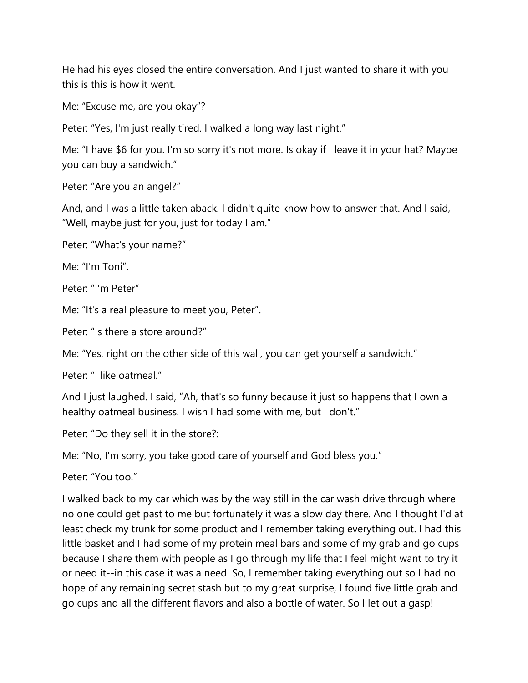He had his eyes closed the entire conversation. And I just wanted to share it with you this is this is how it went.

Me: "Excuse me, are you okay"?

Peter: "Yes, I'm just really tired. I walked a long way last night."

Me: "I have \$6 for you. I'm so sorry it's not more. Is okay if I leave it in your hat? Maybe you can buy a sandwich."

Peter: "Are you an angel?"

And, and I was a little taken aback. I didn't quite know how to answer that. And I said, "Well, maybe just for you, just for today I am."

Peter: "What's your name?"

Me: "I'm Toni".

Peter: "I'm Peter"

Me: "It's a real pleasure to meet you, Peter".

Peter: "Is there a store around?"

Me: "Yes, right on the other side of this wall, you can get yourself a sandwich."

Peter: "I like oatmeal."

And I just laughed. I said, "Ah, that's so funny because it just so happens that I own a healthy oatmeal business. I wish I had some with me, but I don't."

Peter: "Do they sell it in the store?:

Me: "No, I'm sorry, you take good care of yourself and God bless you."

Peter: "You too."

I walked back to my car which was by the way still in the car wash drive through where no one could get past to me but fortunately it was a slow day there. And I thought I'd at least check my trunk for some product and I remember taking everything out. I had this little basket and I had some of my protein meal bars and some of my grab and go cups because I share them with people as I go through my life that I feel might want to try it or need it--in this case it was a need. So, I remember taking everything out so I had no hope of any remaining secret stash but to my great surprise, I found five little grab and go cups and all the different flavors and also a bottle of water. So I let out a gasp!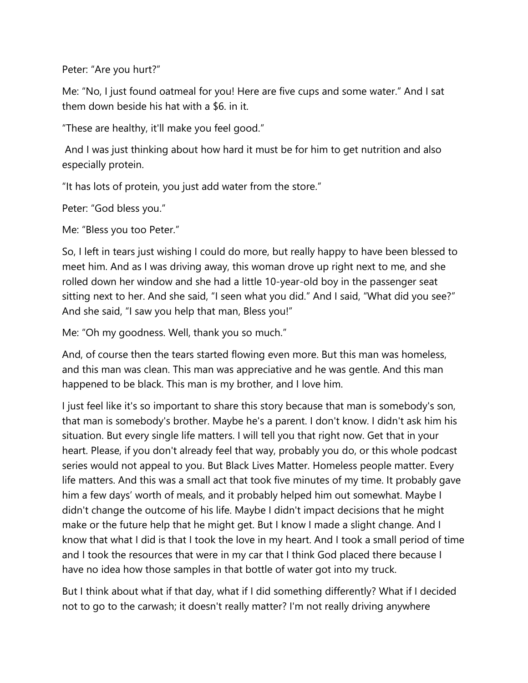Peter: "Are you hurt?"

Me: "No, I just found oatmeal for you! Here are five cups and some water." And I sat them down beside his hat with a \$6. in it.

"These are healthy, it'll make you feel good."

And I was just thinking about how hard it must be for him to get nutrition and also especially protein.

"It has lots of protein, you just add water from the store."

Peter: "God bless you."

Me: "Bless you too Peter."

So, I left in tears just wishing I could do more, but really happy to have been blessed to meet him. And as I was driving away, this woman drove up right next to me, and she rolled down her window and she had a little 10-year-old boy in the passenger seat sitting next to her. And she said, "I seen what you did." And I said, "What did you see?" And she said, "I saw you help that man, Bless you!"

Me: "Oh my goodness. Well, thank you so much."

And, of course then the tears started flowing even more. But this man was homeless, and this man was clean. This man was appreciative and he was gentle. And this man happened to be black. This man is my brother, and I love him.

I just feel like it's so important to share this story because that man is somebody's son, that man is somebody's brother. Maybe he's a parent. I don't know. I didn't ask him his situation. But every single life matters. I will tell you that right now. Get that in your heart. Please, if you don't already feel that way, probably you do, or this whole podcast series would not appeal to you. But Black Lives Matter. Homeless people matter. Every life matters. And this was a small act that took five minutes of my time. It probably gave him a few days' worth of meals, and it probably helped him out somewhat. Maybe I didn't change the outcome of his life. Maybe I didn't impact decisions that he might make or the future help that he might get. But I know I made a slight change. And I know that what I did is that I took the love in my heart. And I took a small period of time and I took the resources that were in my car that I think God placed there because I have no idea how those samples in that bottle of water got into my truck.

But I think about what if that day, what if I did something differently? What if I decided not to go to the carwash; it doesn't really matter? I'm not really driving anywhere